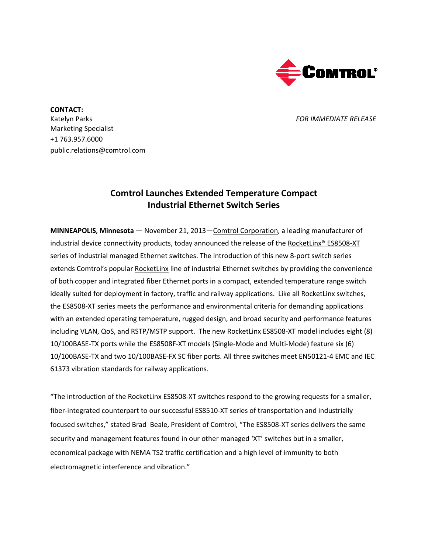

**CONTACT:** Katelyn Parks *FOR IMMEDIATE RELEASE* Marketing Specialist +1 763.957.6000 public.relations@comtrol.com

## **Comtrol Launches Extended Temperature Compact Industrial Ethernet Switch Series**

**MINNEAPOLIS**, **Minnesota** — November 21, 2013[—Comtrol Corporation,](http://www.comtrol.com/) a leading manufacturer of industrial device connectivity products, today announced the release of th[e RocketLinx®](http://www.comtrol.com/rocketlinx-industrial-ethernet-switches/industrial-ethernet-switches/rocketlinx-es8508-xt) ES8508-XT series of industrial managed Ethernet switches. The introduction of this new 8-port switch series extends Comtrol's popular [RocketLinx](http://www.comtrol.com/pub/products/category/cid/82) line of industrial Ethernet switches by providing the convenience of both copper and integrated fiber Ethernet ports in a compact, extended temperature range switch ideally suited for deployment in factory, traffic and railway applications. Like all RocketLinx switches, the ES8508-XT series meets the performance and environmental criteria for demanding applications with an extended operating temperature, rugged design, and broad security and performance features including VLAN, QoS, and RSTP/MSTP support. The new RocketLinx ES8508-XT model includes eight (8) 10/100BASE-TX ports while the ES8508F-XT models (Single-Mode and Multi-Mode) feature six (6) 10/100BASE-TX and two 10/100BASE-FX SC fiber ports. All three switches meet EN50121-4 EMC and IEC 61373 vibration standards for railway applications.

"The introduction of the RocketLinx ES8508-XT switches respond to the growing requests for a smaller, fiber-integrated counterpart to our successful ES8510-XT series of transportation and industrially focused switches," stated Brad Beale, President of Comtrol, "The ES8508-XT series delivers the same security and management features found in our other managed 'XT' switches but in a smaller, economical package with NEMA TS2 traffic certification and a high level of immunity to both electromagnetic interference and vibration."